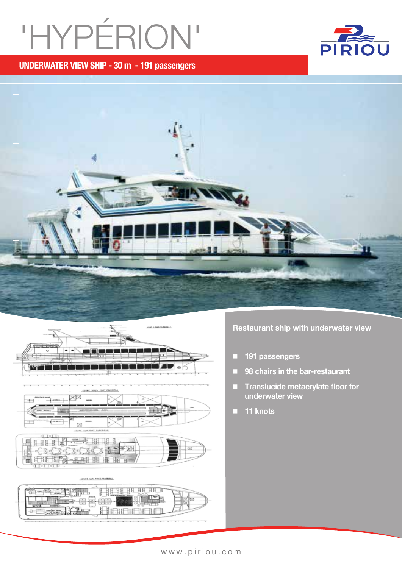# 'HYPéRION'

UNderwater view ship - 30 m - 191 passengers







**Annona** 

Restaurant ship with underwater view

- **191 passengers**
- 98 chairs in the bar-restaurant
- Translucide metacrylate floor for underwater view
- 11 knots